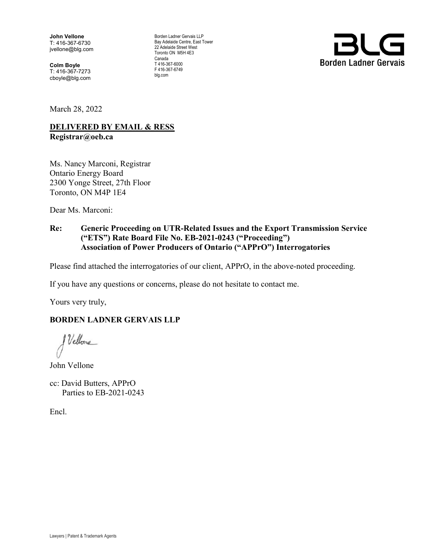John Vellone T: 416-367-6730 jvellone@blg.com

Colm Boyle T: 416-367-7273 cboyle@blg.com Borden Ladner Gervais LLP Bay Adelaide Centre, East Tower 22 Adelaide Street West Toronto ON M5H 4E3 Canada T 416-367-6000 F 416-367-6749 blg.com



March 28, 2022

#### **DELIVERED BY EMAIL & RESS** Registrar@oeb.ca

Ms. Nancy Marconi, Registrar Ontario Energy Board 2300 Yonge Street, 27th Floor Toronto, ON M4P 1E4

Dear Ms. Marconi:

#### Re: Generic Proceeding on UTR-Related Issues and the Export Transmission Service ("ETS") Rate Board File No. EB-2021-0243 ("Proceeding") Association of Power Producers of Ontario ("APPrO") Interrogatories

Please find attached the interrogatories of our client, APPrO, in the above-noted proceeding.

If you have any questions or concerns, please do not hesitate to contact me.

Yours very truly,

#### BORDEN LADNER GERVAIS LLP

& Vellone

John Vellone

cc: David Butters, APPrO Parties to EB-2021-0243

Encl.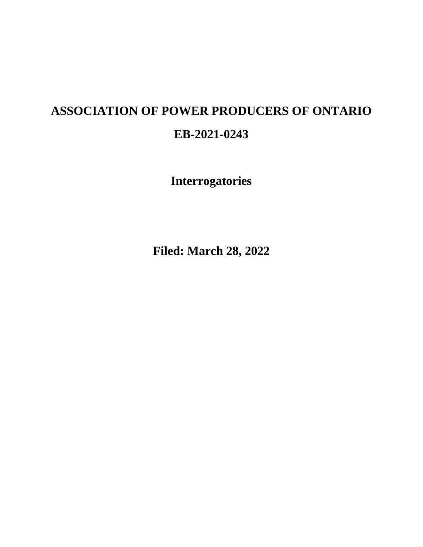# **ASSOCIATION OF POWER PRODUCERS OF ONTARIO EB-2021-0243**

**Interrogatories** 

**Filed: March 28, 2022**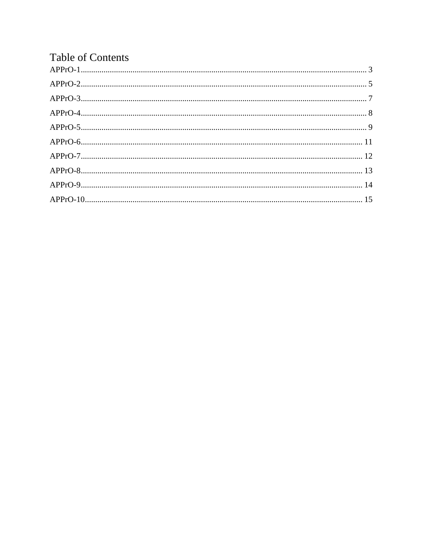| <b>Table of Contents</b> |  |
|--------------------------|--|
|                          |  |
|                          |  |
|                          |  |
|                          |  |
|                          |  |
|                          |  |
|                          |  |
|                          |  |
|                          |  |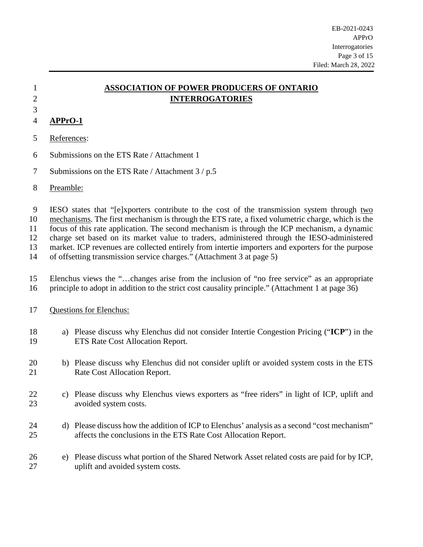# 3

# 1 **ASSOCIATION OF POWER PRODUCERS OF ONTARIO**  2 **INTERROGATORIES**

# <span id="page-3-0"></span>4 **APPrO-1**

- 5 References:
- 6 Submissions on the ETS Rate / Attachment 1
- 7 Submissions on the ETS Rate / Attachment 3 / p.5
- 8 Preamble:

9 IESO states that "[e]xporters contribute to the cost of the transmission system through two

10 mechanisms. The first mechanism is through the ETS rate, a fixed volumetric charge, which is the 11 focus of this rate application. The second mechanism is through the ICP mechanism, a dynamic

12 charge set based on its market value to traders, administered through the IESO-administered

13 market. ICP revenues are collected entirely from intertie importers and exporters for the purpose

- 14 of offsetting transmission service charges." (Attachment 3 at page 5)
- 15 Elenchus views the "…changes arise from the inclusion of "no free service" as an appropriate 16 principle to adopt in addition to the strict cost causality principle." (Attachment 1 at page 36)
- 17 Questions for Elenchus:
- 18 a) Please discuss why Elenchus did not consider Intertie Congestion Pricing ("**ICP**") in the 19 ETS Rate Cost Allocation Report.
- 20 b) Please discuss why Elenchus did not consider uplift or avoided system costs in the ETS 21 Rate Cost Allocation Report.
- 22 c) Please discuss why Elenchus views exporters as "free riders" in light of ICP, uplift and 23 avoided system costs.
- 24 d) Please discuss how the addition of ICP to Elenchus' analysis as a second "cost mechanism" 25 affects the conclusions in the ETS Rate Cost Allocation Report.
- 26 e) Please discuss what portion of the Shared Network Asset related costs are paid for by ICP, 27 uplift and avoided system costs.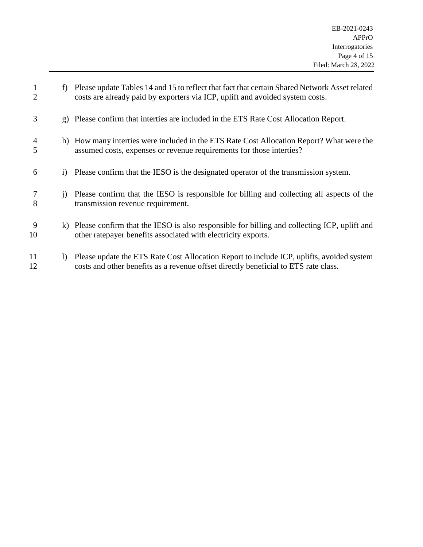| $\mathbf{1}$<br>$\overline{2}$ |              | f) Please update Tables 14 and 15 to reflect that fact that certain Shared Network Asset related<br>costs are already paid by exporters via ICP, uplift and avoided system costs. |
|--------------------------------|--------------|-----------------------------------------------------------------------------------------------------------------------------------------------------------------------------------|
| 3                              |              | g) Please confirm that interties are included in the ETS Rate Cost Allocation Report.                                                                                             |
| $\overline{4}$<br>5            |              | h) How many interties were included in the ETS Rate Cost Allocation Report? What were the<br>assumed costs, expenses or revenue requirements for those interties?                 |
| 6                              |              | i) Please confirm that the IESO is the designated operator of the transmission system.                                                                                            |
| 7<br>8                         | $\mathbf{1}$ | Please confirm that the IESO is responsible for billing and collecting all aspects of the<br>transmission revenue requirement.                                                    |
| 9<br>10                        |              | k) Please confirm that the IESO is also responsible for billing and collecting ICP, uplift and<br>other ratepayer benefits associated with electricity exports.                   |
| 11<br>12                       | $\bf{D}$     | Please update the ETS Rate Cost Allocation Report to include ICP, uplifts, avoided system<br>costs and other benefits as a revenue offset directly beneficial to ETS rate class.  |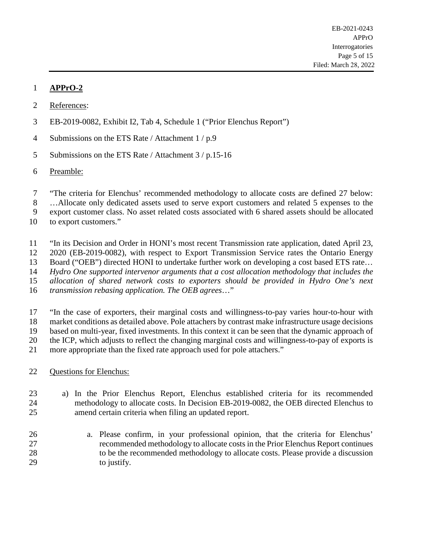- <span id="page-5-0"></span>2 References:
- 3 EB-2019-0082, Exhibit I2, Tab 4, Schedule 1 ("Prior Elenchus Report")
- 4 Submissions on the ETS Rate / Attachment 1 / p.9
- 5 Submissions on the ETS Rate / Attachment 3 / p.15-16
- 6 Preamble:
- 7 "The criteria for Elenchus' recommended methodology to allocate costs are defined 27 below:
- 8 …Allocate only dedicated assets used to serve export customers and related 5 expenses to the

9 export customer class. No asset related costs associated with 6 shared assets should be allocated

- 10 to export customers."
- 11 "In its Decision and Order in HONI's most recent Transmission rate application, dated April 23,
- 12 2020 (EB-2019-0082), with respect to Export Transmission Service rates the Ontario Energy
- 13 Board ("OEB") directed HONI to undertake further work on developing a cost based ETS rate...
- 14 *Hydro One supported intervenor arguments that a cost allocation methodology that includes the*
- 15 *allocation of shared network costs to exporters should be provided in Hydro One's next*
- 16 *transmission rebasing application. The OEB agrees*…"
- 17 "In the case of exporters, their marginal costs and willingness-to-pay varies hour-to-hour with 18 market conditions as detailed above. Pole attachers by contrast make infrastructure usage decisions 19 based on multi-year, fixed investments. In this context it can be seen that the dynamic approach of 20 the ICP, which adjusts to reflect the changing marginal costs and willingness-to-pay of exports is 21 more appropriate than the fixed rate approach used for pole attachers."
- 22 Questions for Elenchus:
- 23 a) In the Prior Elenchus Report, Elenchus established criteria for its recommended 24 methodology to allocate costs. In Decision EB-2019-0082, the OEB directed Elenchus to 25 amend certain criteria when filing an updated report.
- 26 a. Please confirm, in your professional opinion, that the criteria for Elenchus' 27 recommended methodology to allocate costs in the Prior Elenchus Report continues 28 to be the recommended methodology to allocate costs. Please provide a discussion 29 to justify.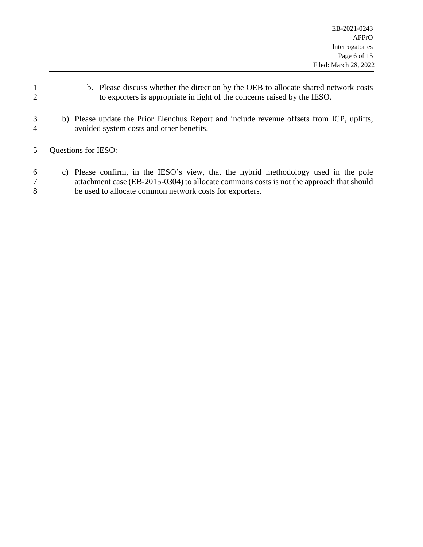- 1 b. Please discuss whether the direction by the OEB to allocate shared network costs 2 to exporters is appropriate in light of the concerns raised by the IESO.
- 3 b) Please update the Prior Elenchus Report and include revenue offsets from ICP, uplifts, 4 avoided system costs and other benefits.
- 5 Questions for IESO:
- 6 c) Please confirm, in the IESO's view, that the hybrid methodology used in the pole 7 attachment case (EB-2015-0304) to allocate commons costs is not the approach that should 8 be used to allocate common network costs for exporters.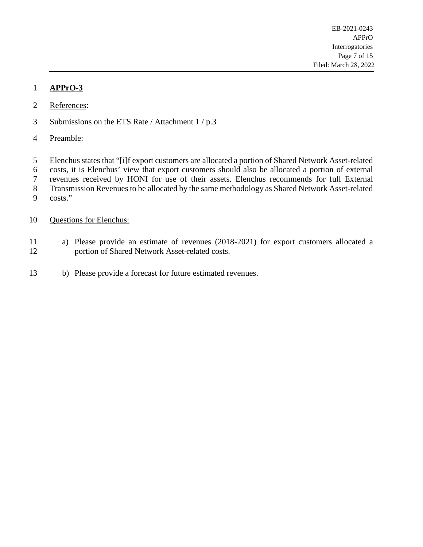- <span id="page-7-0"></span>2 References:
- 3 Submissions on the ETS Rate / Attachment 1 / p.3
- 4 Preamble:
- 5 Elenchus states that "[i]f export customers are allocated a portion of Shared Network Asset-related
- 6 costs, it is Elenchus' view that export customers should also be allocated a portion of external
- 7 revenues received by HONI for use of their assets. Elenchus recommends for full External
- 8 Transmission Revenues to be allocated by the same methodology as Shared Network Asset-related
- 9 costs."
- 10 Questions for Elenchus:
- 11 a) Please provide an estimate of revenues (2018-2021) for export customers allocated a 12 portion of Shared Network Asset-related costs.
- 13 b) Please provide a forecast for future estimated revenues.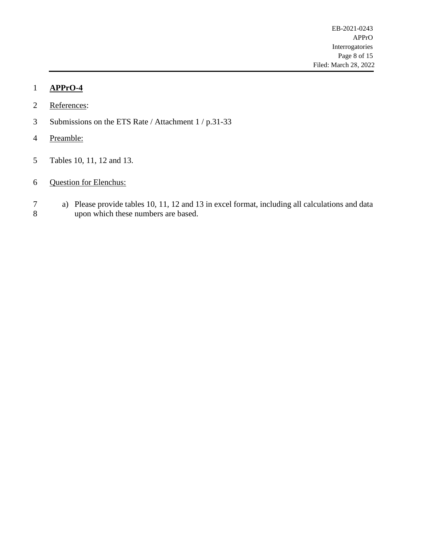- <span id="page-8-0"></span>2 References:
- 3 Submissions on the ETS Rate / Attachment 1 / p.31-33
- 4 Preamble:
- 5 Tables 10, 11, 12 and 13.
- 6 Question for Elenchus:
- 7 a) Please provide tables 10, 11, 12 and 13 in excel format, including all calculations and data upon which these numbers are based. upon which these numbers are based.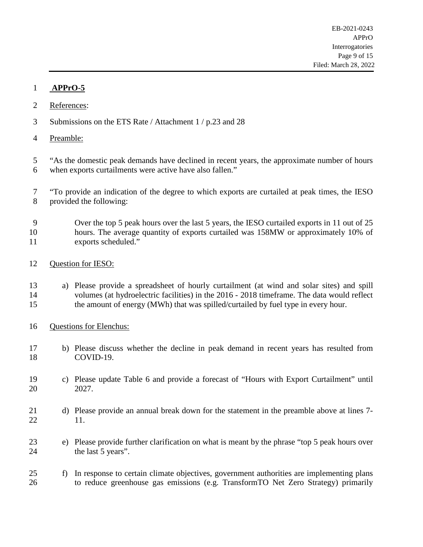- <span id="page-9-0"></span>2 References:
- 3 Submissions on the ETS Rate / Attachment 1 / p.23 and 28
- 4 Preamble:
- 5 "As the domestic peak demands have declined in recent years, the approximate number of hours 6 when exports curtailments were active have also fallen."
- 7 "To provide an indication of the degree to which exports are curtailed at peak times, the IESO 8 provided the following:
- 9 Over the top 5 peak hours over the last 5 years, the IESO curtailed exports in 11 out of 25 10 hours. The average quantity of exports curtailed was 158MW or approximately 10% of 11 exports scheduled."
- 12 Question for IESO:
- 13 a) Please provide a spreadsheet of hourly curtailment (at wind and solar sites) and spill 14 volumes (at hydroelectric facilities) in the 2016 - 2018 timeframe. The data would reflect 15 the amount of energy (MWh) that was spilled/curtailed by fuel type in every hour.
- 16 Questions for Elenchus:
- 17 b) Please discuss whether the decline in peak demand in recent years has resulted from 18 COVID-19.
- 19 c) Please update Table 6 and provide a forecast of "Hours with Export Curtailment" until 20 2027.
- 21 d) Please provide an annual break down for the statement in the preamble above at lines 7-22 11.
- 23 e) Please provide further clarification on what is meant by the phrase "top 5 peak hours over 24 the last 5 years".
- 25 f) In response to certain climate objectives, government authorities are implementing plans 26 to reduce greenhouse gas emissions (e.g. TransformTO Net Zero Strategy) primarily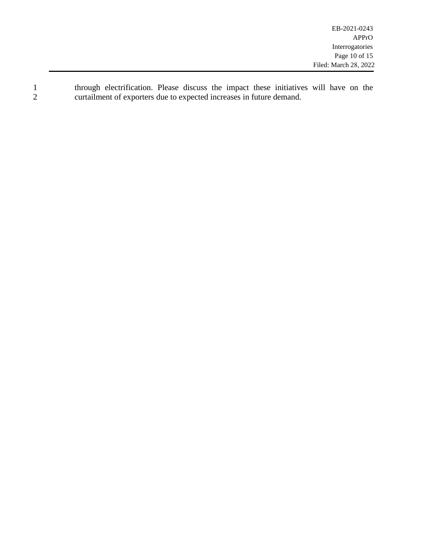1 through electrification. Please discuss the impact these initiatives will have on the curtailment of exporters due to expected increases in future demand. 2 curtailment of exporters due to expected increases in future demand.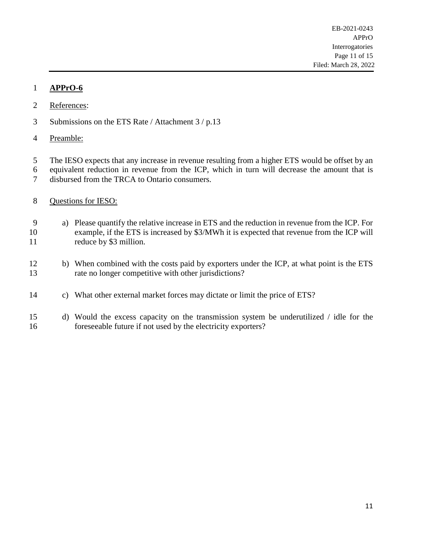- <span id="page-11-0"></span>2 References:
- 3 Submissions on the ETS Rate / Attachment 3 / p.13
- 4 Preamble:
- 5 The IESO expects that any increase in revenue resulting from a higher ETS would be offset by an 6 equivalent reduction in revenue from the ICP, which in turn will decrease the amount that is
- 7 disbursed from the TRCA to Ontario consumers.
- 8 Questions for IESO:
- 9 a) Please quantify the relative increase in ETS and the reduction in revenue from the ICP. For 10 example, if the ETS is increased by \$3/MWh it is expected that revenue from the ICP will 11 reduce by \$3 million.
- 12 b) When combined with the costs paid by exporters under the ICP, at what point is the ETS 13 rate no longer competitive with other jurisdictions?
- 14 c) What other external market forces may dictate or limit the price of ETS?
- 15 d) Would the excess capacity on the transmission system be underutilized / idle for the 16 foreseeable future if not used by the electricity exporters?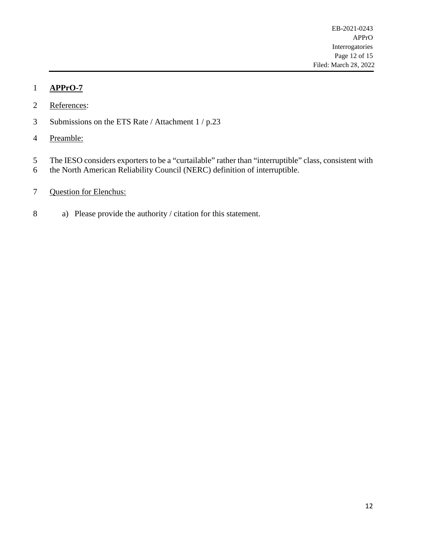- <span id="page-12-0"></span>2 References:
- 3 Submissions on the ETS Rate / Attachment 1 / p.23
- 4 Preamble:
- 5 The IESO considers exporters to be a "curtailable" rather than "interruptible" class, consistent with
- 6 the North American Reliability Council (NERC) definition of interruptible.
- 7 Question for Elenchus:
- 8 a) Please provide the authority / citation for this statement.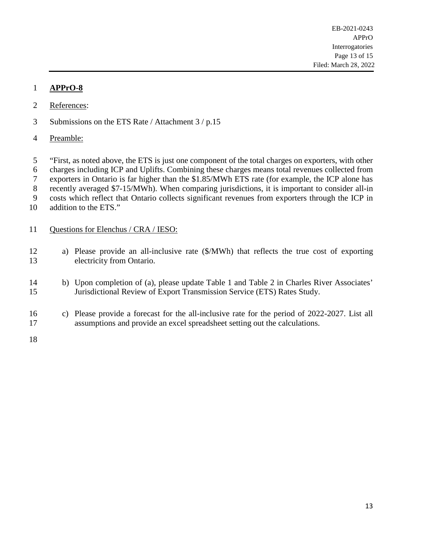- <span id="page-13-0"></span>2 References:
- 3 Submissions on the ETS Rate / Attachment 3 / p.15
- 4 Preamble:

5 "First, as noted above, the ETS is just one component of the total charges on exporters, with other

6 charges including ICP and Uplifts. Combining these charges means total revenues collected from

7 exporters in Ontario is far higher than the \$1.85/MWh ETS rate (for example, the ICP alone has

8 recently averaged \$7-15/MWh). When comparing jurisdictions, it is important to consider all-in

9 costs which reflect that Ontario collects significant revenues from exporters through the ICP in

10 addition to the ETS."

#### 11 Questions for Elenchus / CRA / IESO:

- 12 a) Please provide an all-inclusive rate (\$/MWh) that reflects the true cost of exporting 13 electricity from Ontario.
- 14 b) Upon completion of (a), please update Table 1 and Table 2 in Charles River Associates' 15 Jurisdictional Review of Export Transmission Service (ETS) Rates Study.
- 16 c) Please provide a forecast for the all-inclusive rate for the period of 2022-2027. List all 17 assumptions and provide an excel spreadsheet setting out the calculations.
- 18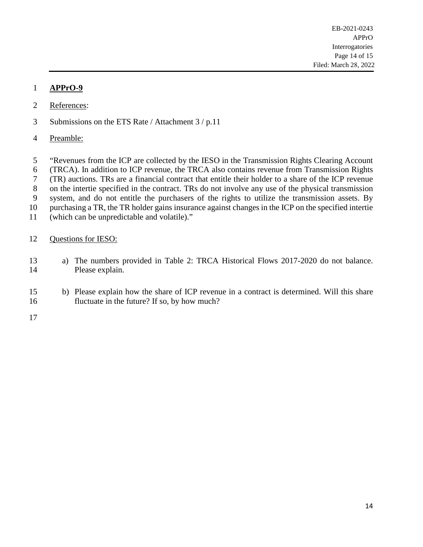- <span id="page-14-0"></span>2 References:
- 3 Submissions on the ETS Rate / Attachment 3 / p.11
- 4 Preamble:
- 5 "Revenues from the ICP are collected by the IESO in the Transmission Rights Clearing Account
- 6 (TRCA). In addition to ICP revenue, the TRCA also contains revenue from Transmission Rights
- 7 (TR) auctions. TRs are a financial contract that entitle their holder to a share of the ICP revenue
- 8 on the intertie specified in the contract. TRs do not involve any use of the physical transmission
- 9 system, and do not entitle the purchasers of the rights to utilize the transmission assets. By
- 10 purchasing a TR, the TR holder gains insurance against changes in the ICP on the specified intertie
- 11 (which can be unpredictable and volatile)."

#### 12 Questions for IESO:

- 13 a) The numbers provided in Table 2: TRCA Historical Flows 2017-2020 do not balance. 14 Please explain.
- 15 b) Please explain how the share of ICP revenue in a contract is determined. Will this share 16 fluctuate in the future? If so, by how much?
- 17